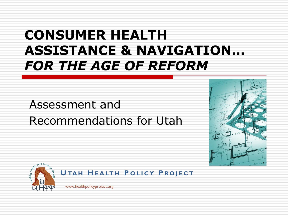## **CONSUMER HEALTH ASSISTANCE & NAVIGATION…**  *FOR THE AGE OF REFORM*

#### Assessment and Recommendations for Utah







www.healthpolicyproject.org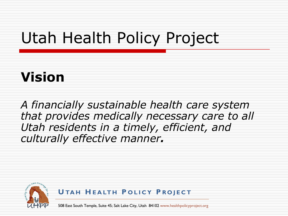## Utah Health Policy Project

## **Vision**

*A financially sustainable health care system that provides medically necessary care to all Utah residents in a timely, efficient, and culturally effective manner.*



**U TA H H E A LT H P O L I C Y P R O J E C T**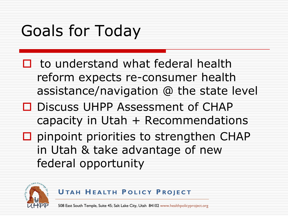## Goals for Today

- $\Box$  to understand what federal health reform expects re-consumer health assistance/navigation @ the state level
- □ Discuss UHPP Assessment of CHAP capacity in Utah  $+$  Recommendations
- $\square$  pinpoint priorities to strengthen CHAP in Utah & take advantage of new federal opportunity



**U TA H H E A LT H P O L I C Y P R O J E C T**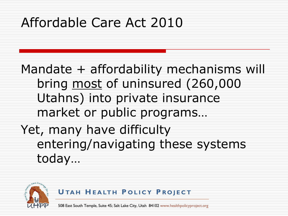## Affordable Care Act 2010

Mandate + affordability mechanisms will bring most of uninsured (260,000 Utahns) into private insurance market or public programs… Yet, many have difficulty entering/navigating these systems today…



**U TA H H E A LT H P O L I C Y P R O J E C T**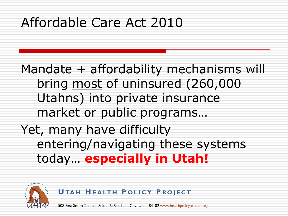## Affordable Care Act 2010

Mandate + affordability mechanisms will bring most of uninsured (260,000 Utahns) into private insurance market or public programs… Yet, many have difficulty entering/navigating these systems today… **especially in Utah!**



**U TA H H E A LT H P O L I C Y P R O J E C T**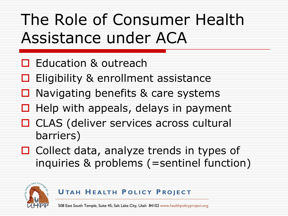## The Role of Consumer Health Assistance under ACA

- □ Education & outreach
- $\Box$  Eligibility & enrollment assistance
- $\Box$  Navigating benefits & care systems
- $\Box$  Help with appeals, delays in payment
- □ CLAS (deliver services across cultural barriers)
- $\Box$  Collect data, analyze trends in types of inquiries & problems (=sentinel function)



#### **U TA H H E A LT H P O L I C Y P R O J E C T**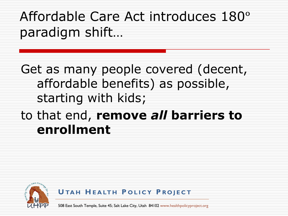## Affordable Care Act introduces 180° paradigm shift…

Get as many people covered (decent, affordable benefits) as possible, starting with kids;

### to that end, **remove** *all* **barriers to enrollment**



**U TA H H E A LT H P O L I C Y P R O J E C T**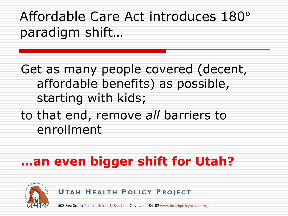## Affordable Care Act introduces 180° paradigm shift…

Get as many people covered (decent, affordable benefits) as possible, starting with kids;

#### to that end, remove *all* barriers to enrollment

### **…an even bigger shift for Utah?**



**U TA H H E A LT H P O L I C Y P R O J E C T**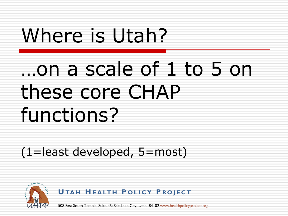# Where is Utah?

# …on a scale of 1 to 5 on these core CHAP functions?

(1=least developed, 5=most)

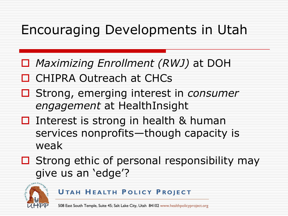### Encouraging Developments in Utah

- *Maximizing Enrollment (RWJ)* at DOH
- CHIPRA Outreach at CHCs
- Strong, emerging interest in *consumer engagement* at HealthInsight
- $\Box$  Interest is strong in health & human services nonprofits—though capacity is weak
- $\Box$  Strong ethic of personal responsibility may give us an 'edge'?



**U TA H H E A LT H P O L I C Y P R O J E C T**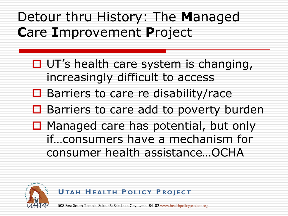Detour thru History: The **M**anaged **C**are **I**mprovement **P**roject

- $\Box$  UT's health care system is changing, increasingly difficult to access
- $\square$  Barriers to care re disability/race
- $\Box$  Barriers to care add to poverty burden
- $\Box$  Managed care has potential, but only if…consumers have a mechanism for consumer health assistance…OCHA



**U TA H H E A LT H P O L I C Y P R O J E C T**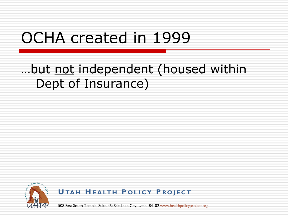## OCHA created in 1999

#### …but not independent (housed within Dept of Insurance)



**U TA H H E A LT H P O L I C Y P R O J E C T**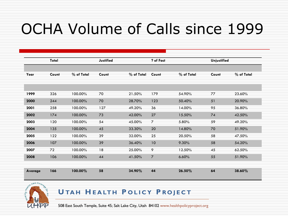## OCHA Volume of Calls since 1999

| Total   |       |            | Justified |            | ? of Fact      |            | <b>Unjustified</b> |            |
|---------|-------|------------|-----------|------------|----------------|------------|--------------------|------------|
|         |       |            |           |            |                |            |                    |            |
| Year    | Count | % of Total | Count     | % of Total | Count          | % of Total | Count              | % of Total |
|         |       |            |           |            |                |            |                    |            |
|         |       |            |           |            |                |            |                    |            |
| 1999    | 326   | 100.00%    | 70        | 21.50%     | 179            | 54.90%     | 77                 | 23.60%     |
| 2000    | 244   | 100.00%    | 70        | 28.70%     | 123            | 50.40%     | 51                 | 20.90%     |
| 2001    | 258   | 100.00%    | 127       | 49.20%     | 36             | 14.00%     | 95                 | 36.80%     |
| 2002    | 174   | 100.00%    | 73        | 42.00%     | 27             | 15.50%     | 74                 | 42.50%     |
| 2003    | 120   | 100.00%    | 54        | 45.00%     | $\overline{7}$ | 5.80%      | 59                 | 49.20%     |
| 2004    | 135   | 100.00%    | 45        | 33.30%     | 20             | 14.80%     | 70                 | 51.90%     |
| 2005    | 122   | 100.00%    | 39        | 32.00%     | 25             | 20.50%     | 58                 | 47.50%     |
| 2006    | 107   | 100.00%    | 39        | 36.40%     | 10             | 9.30%      | 58                 | 54.20%     |
| 2007    | 72    | 100.00%    | 18        | 25.00%     | 9              | 12.50%     | 45                 | 62.50%     |
| 2008    | 106   | 100.00%    | 44        | 41.50%     | $\overline{7}$ | 6.60%      | 55                 | 51.90%     |
|         |       |            |           |            |                |            |                    |            |
| Average | 166   | 100.00%    | 58        | 34.90%     | 44             | 26.50%     | 64                 | 38.60%     |



#### **U TA H H E A LT H P O L I C Y P R O J E C T**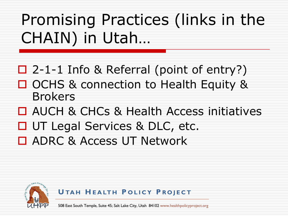Promising Practices (links in the CHAIN) in Utah…

2-1-1 Info & Referral (point of entry?)

- OCHS & connection to Health Equity & Brokers
- □ AUCH & CHCs & Health Access initiatives
- □ UT Legal Services & DLC, etc.
- **□ ADRC & Access UT Network**



**U TA H H E A LT H P O L I C Y P R O J E C T**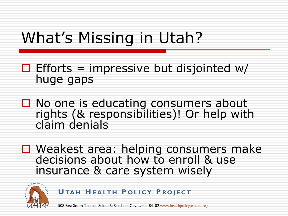## What's Missing in Utah?

- $\Box$  Efforts = impressive but disjointed w/ huge gaps
- $\Box$  No one is educating consumers about rights (& responsibilities)! Or help with claim denials
- □ Weakest area: helping consumers make decisions about how to enroll & use insurance & care system wisely



**U TA H H E A LT H P O L I C Y P R O J E C T**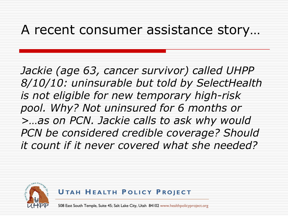#### A recent consumer assistance story…

*Jackie (age 63, cancer survivor) called UHPP 8/10/10: uninsurable but told by SelectHealth is not eligible for new temporary high-risk pool. Why? Not uninsured for 6 months or >…as on PCN. Jackie calls to ask why would PCN be considered credible coverage? Should it count if it never covered what she needed?* 



**U TA H H E A LT H P O L I C Y P R O J E C T**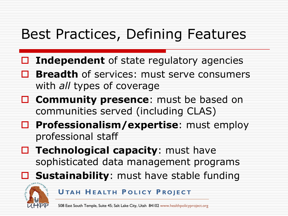## Best Practices, Defining Features

- **Independent** of state regulatory agencies
- **Breadth** of services: must serve consumers with *all* types of coverage
- **Community presence:** must be based on communities served (including CLAS)
- **Professionalism/expertise**: must employ professional staff
- **Technological capacity:** must have sophisticated data management programs
	- **Sustainability**: must have stable funding



**U TA H H E A LT H P O L I C Y P R O J E C T**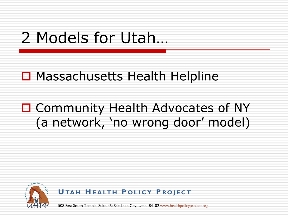## 2 Models for Utah…

#### □ Massachusetts Health Helpline

### □ Community Health Advocates of NY (a network, 'no wrong door' model)



**U TA H H E A LT H P O L I C Y P R O J E C T**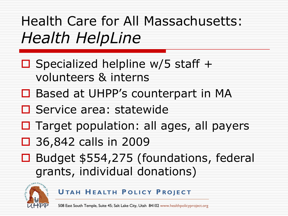Health Care for All Massachusetts: *Health HelpLine*

- $\Box$  Specialized helpline w/5 staff + volunteers & interns
- □ Based at UHPP's counterpart in MA
- □ Service area: statewide
- $\Box$  Target population: all ages, all payers
- 36,842 calls in 2009
- □ Budget \$554,275 (foundations, federal grants, individual donations)



**U TA H H E A LT H P O L I C Y P R O J E C T**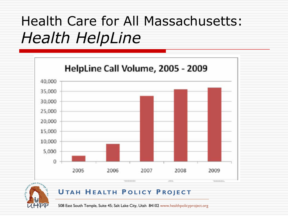## Health Care for All Massachusetts: *Health HelpLine*





#### **U TA H H E A LT H P O L I C Y P R O J E C T**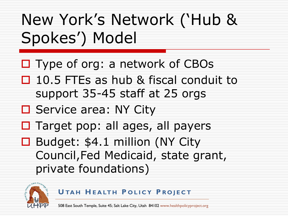## New York's Network ('Hub & Spokes') Model

- $\Box$  Type of org: a network of CBOs
- $\Box$  10.5 FTEs as hub & fiscal conduit to support 35-45 staff at 25 orgs
- □ Service area: NY City
- $\Box$  Target pop: all ages, all payers
- □ Budget: \$4.1 million (NY City Council,Fed Medicaid, state grant, private foundations)



**U TA H H E A LT H P O L I C Y P R O J E C T**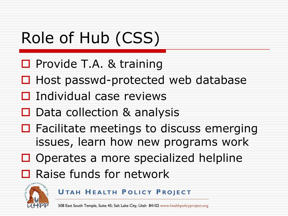## Role of Hub (CSS)

- $\square$  Provide T.A. & training
- $\Box$  Host passwd-protected web database
- $\Box$  Individual case reviews
- $\Box$  Data collection & analysis
- $\Box$  Facilitate meetings to discuss emerging issues, learn how new programs work
- $\Box$  Operates a more specialized helpline
- Raise funds for network



**U TA H H E A LT H P O L I C Y P R O J E C T**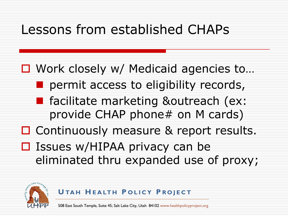### Lessons from established CHAPs

□ Work closely w/ Medicaid agencies to...

- permit access to eligibility records,
- **F** facilitate marketing &outreach (ex: provide CHAP phone# on M cards)
- □ Continuously measure & report results.
- $\square$  Issues w/HIPAA privacy can be eliminated thru expanded use of proxy;



**U TA H H E A LT H P O L I C Y P R O J E C T**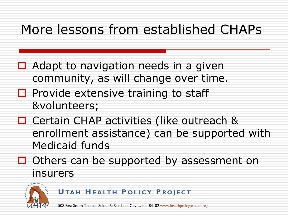### More lessons from established CHAPs

- $\Box$  Adapt to navigation needs in a given community, as will change over time.
- $\Box$  Provide extensive training to staff &volunteers;
- □ Certain CHAP activities (like outreach & enrollment assistance) can be supported with Medicaid funds
- $\Box$  Others can be supported by assessment on insurers



#### **U TA H H E A LT H P O L I C Y P R O J E C T**